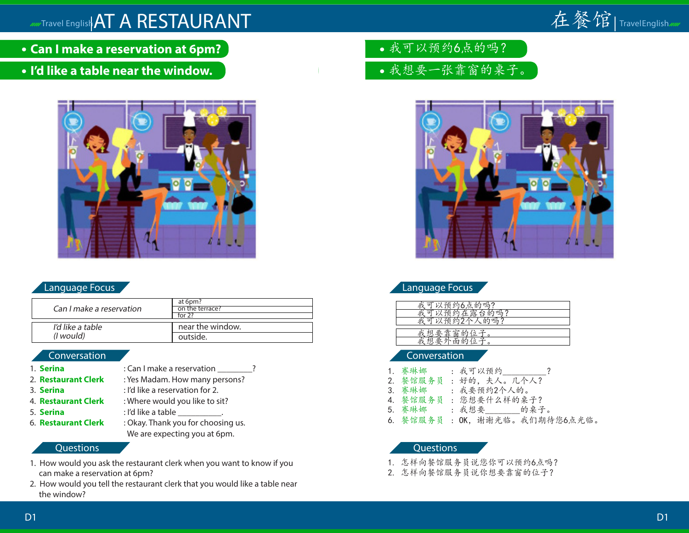

- **Can I make a reservation at 6pm?**
- **I'd like a table near the window.**



### Language Focus

|                          | at 6pm?          |
|--------------------------|------------------|
| Can I make a reservation | on the terrace?  |
|                          | for $22$         |
|                          |                  |
| I'd like a table         | near the window. |
| ( <i>l</i> would)        | outside.         |

#### Conversation

1. **Serina** : Can I make a reservation ? 2. **Restaurant Clerk** : Yes Madam. How many persons? 3. **Serina** : I'd like a reservation for 2. 4. **Restaurant Clerk** : Where would you like to sit? 5. **Serina** : I'd like a table 6. **Restaurant Clerk** : Okay. Thank you for choosing us. We are expecting you at 6pm.

#### **Questions**

- 1. How would you ask the restaurant clerk when you want to know if you can make a reservation at 6pm?
- 2. How would you tell the restaurant clerk that you would like a table near the window?
- 我可以预约6点的吗?
- 我想要一张靠窗的桌子。



## Language Focus

| 约<br>环<br>6点的<br>呱?<br>121                                           |
|----------------------------------------------------------------------|
| 雷<br>$b\overline{b}$<br>マズ<br>$\cdot$<br>吗?<br><b>12</b><br>∽<br>HV. |
| 35<br>的吗?<br>U<br>ъ                                                  |
|                                                                      |
| 囪<br>비                                                               |
|                                                                      |
|                                                                      |

#### Conversation

- 1. 赛琳娜 : 我可以预约\_\_\_\_\_\_\_\_\_\_? 2. 餐馆服务员 : 好的,夫人。几个人? 3. 赛琳娜 : 我要预约2个人的。 4. 餐馆服务员 : 您想要什么样的桌子?
- 赛琳娜 : 我想要 的桌子。
- 6. 餐馆服务员 : OK,谢谢光临。我们期待您6点光临。

- 1. 怎样向餐馆服务员说您你可以预约6点吗?
- 2. 怎样向餐馆服务员说你想要靠窗的位子?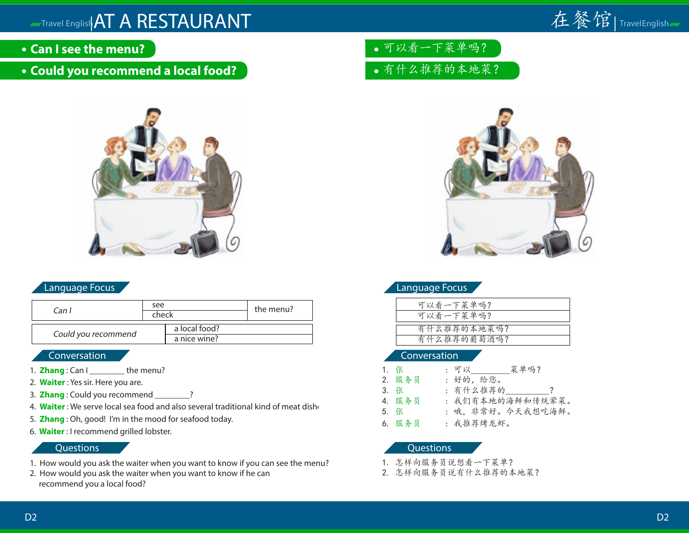

- **Can I see the menu?**
- **Could you recommend a local food?**



### Language Focus

| Can I               | see<br>check |                               | the menu? |
|---------------------|--------------|-------------------------------|-----------|
| Could you recommend |              | a local food?<br>a nice wine? |           |

#### **Conversation**

- 1. **Zhang**: Can I lemenu?
- 2. **Waiter** : Yes sir. Here you are.
- 3. **Zhang** : Could you recommend \_\_\_\_\_\_\_\_?
- 4. Waiter : We serve local sea food and also several traditional kind of meat dishe
- 5. **Zhang** : Oh, good! I'm in the mood for seafood today.
- 6. **Waiter** : I recommend grilled lobster.

#### Questions

- 1. How would you ask the waiter when you want to know if you can see the menu?
- 2. How would you ask the waiter when you want to know if he can recommend you a local food?
- 可以看一下菜单吗?
- 有什么推荐的本地菜?



|  | Language Focus |  |
|--|----------------|--|
|  |                |  |

| 可以看一下菜单吗?   |
|-------------|
| 可以看一下菜单吗?   |
| 有什么推荐的本地菜吗? |
| 有什么推荐的葡萄酒吗? |
|             |

#### Conversation

| 1. 张   | : 可以_____ 菜单吗?    |
|--------|-------------------|
| 2. 服务员 | : 好的, 给您。         |
| 3. 张   | : 有什么推荐的          |
| 4. 服务员 | : 我们有本地的海鲜和传统荤菜。  |
| 5. 张   | : 哦, 非常好。今天我想吃海鲜。 |
| 6. 服务员 | : 我推荐烤龙虾。         |

- 1. 怎样向服务员说想看一下菜单?
- 2. 怎样向服务员说有什么推荐的本地菜?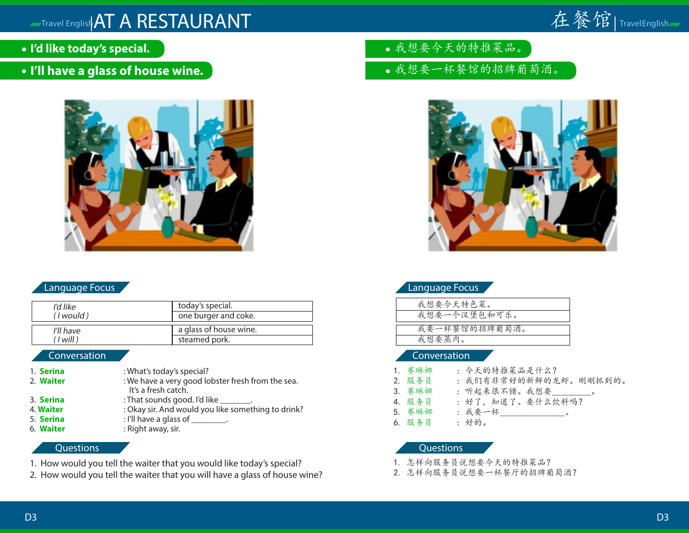

- **I'd like today's special.**
- **I'll have a glass of house wine.**



### Language Focus

| I'd like  | today's special.       |
|-----------|------------------------|
| (I would) | one burger and coke.   |
| I'll have | a glass of house wine. |
| (1 will)  | steamed pork.          |

#### Conversation

- 1. **Serina** : What's today's special? 2. **Waiter** : We have a very good lobster fresh from the sea. It's a fresh catch. 3. **Serina** : That sounds good. I'd like
- 4. **Waiter** : Okay sir. And would you like something to drink?
- 5. **Serina** : I'll have a glass of \_\_\_\_\_\_\_.
- 6. **Waiter** : Right away, sir.

#### **Questions**

- 1. How would you tell the waiter that you would like today's special?
- 2. How would you tell the waiter that you will have a glass of house wine?
- 我想要今天的特推菜品。
- 我想要一杯餐馆的招牌葡萄酒。



|  | Language Focus |
|--|----------------|
|  |                |

| 我想要今天特色菜。     |
|---------------|
| 我想要一个汉堡包和可乐。  |
|               |
| 我要一杯餐馆的招牌葡萄酒。 |
| 我想要蒸肉。        |
|               |

#### Conversation

- 1. 赛琳娜 : 今天的特推菜品是什么? 2. 服务员 : 我们有非常好的新鲜的龙虾。刚刚抓到的。
	- 3. 赛琳娜 : 听起来很不错。我想要
	- 4. 服务员 : 好了, 知道了。要什么饮料吗?
	- 5. 赛琳娜 : 我要一杯 。
	- 6. 服务员 : 好的。
- 

- 1. 怎样向服务员说想要今天的特推菜品?
- 2. 怎样向服务员说想要一杯餐厅的招牌葡萄酒?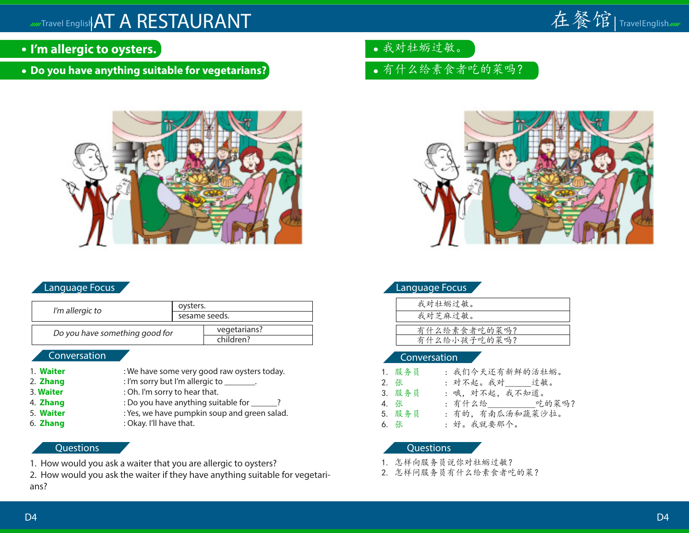

- **I'm allergic to oysters.**
- **Do you have anything suitable for vegetarians?**



### Language Focus

| I'm allergic to                | oysters.      |                           |
|--------------------------------|---------------|---------------------------|
|                                | sesame seeds. |                           |
| Do you have something good for |               | vegetarians?<br>children? |
| Conversation <sup>'</sup>      |               |                           |

- 1. **Waiter** : We have some very good raw oysters today.
- 2. **Zhang** : I'm sorry but I'm allergic to \_\_\_\_\_\_\_.
- 3. **Waiter** : Oh. I'm sorry to hear that.
- 4. **Zhang** : Do you have anything suitable for  $\overline{\phantom{a}}$ ?
- 5. **Waiter** : Yes, we have pumpkin soup and green salad.
- 6. **Zhang** : Okay. I'll have that.

#### **Questions**

- 1. How would you ask a waiter that you are allergic to oysters?
- 2. How would you ask the waiter if they have anything suitable for vegetarians?
- 我对牡蛎过敏。
- 有什么给素食者吃的菜吗?



| Languagen ocus               |  |
|------------------------------|--|
| 我对牡蛎过敏。                      |  |
| 我对芝麻过敏。                      |  |
|                              |  |
| 有什么给素食者吃的菜吗?<br>有什么给小孩子吃的菜吗? |  |
|                              |  |

### Conversation

Language Focus

| 1. 服务员 | : 我们今天还有新鲜的活牡蛎。        |
|--------|------------------------|
| 2. 张   | : 对不起。我对_____过敏。       |
| 3. 服务员 | : 哦, 对不起, 我不知道。        |
| 4. 张   | : 有什么给___________吃的菜吗? |
| 5. 服务员 | : 有的, 有南瓜汤和蔬菜沙拉。       |
| 6. 张   | : 好。我就要那个。             |

- 1. 怎样向服务员说你对牡蛎过敏?
- 2. 怎样问服务员有什么给素食者吃的菜?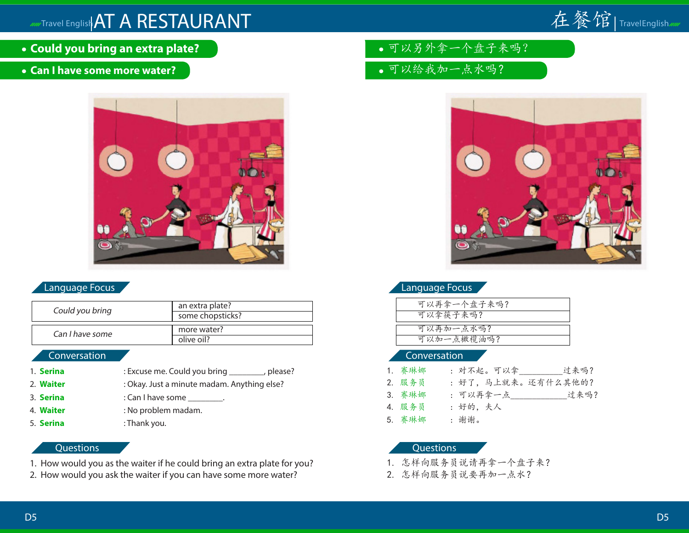

- **Could you bring an extra plate?**
- **Can I have some more water?**



## Language Focus

| Could you bring | an extra plate?<br>some chopsticks? |
|-----------------|-------------------------------------|
| Can I have some | more water?<br>olive oil?           |

#### Conversation

- 1. **Serina** : Excuse me. Could you bring \_\_\_\_\_\_\_, please? 2. **Waiter** : Okay. Just a minute madam. Anything else? 3. **Serina** : Can I have some .
- 4. **Waiter** : No problem madam.
- 5. **Serina** : Thank you.

#### **Questions**

- 1. How would you as the waiter if he could bring an extra plate for you?
- 2. How would you ask the waiter if you can have some more water?
- 可以另外拿一个盘子来吗?
- 可以给我加一点水吗?



## Language Focus

| 可以再拿一个盘子来吗? |
|-------------|
| 可以拿筷子来吗?    |
| 可以再加一点水吗?   |
| 可以加一点橄榄油吗?  |
|             |

#### Conversation

| 1. 赛琳娜 | : 对不起。可以拿           | 讨来吗? |
|--------|---------------------|------|
| 2. 服务员 | : 好了, 马上就来。还有什么其他的? |      |
| 3. 赛琳娜 |                     | 过来吗? |
| 4. 服务员 | : 好的.   夫人          |      |
| 5. 赛琳娜 | : 谢谢。               |      |

- 1. 怎样向服务员说请再拿一个盘子来?
- 2. 怎样向服务员说要再加一点水?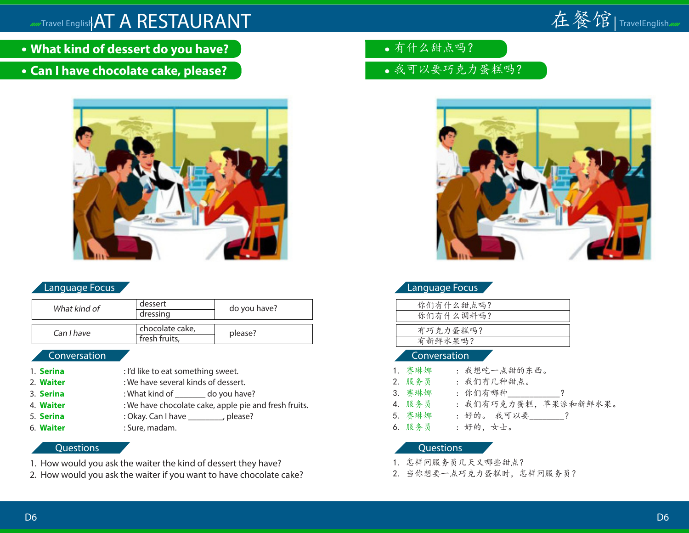

- **What kind of dessert do you have?**
- **Can I have chocolate cake, please?**



## Language Focus

| What kind of | dessert         | do you have? |  |  |
|--------------|-----------------|--------------|--|--|
|              | dressing        |              |  |  |
|              |                 |              |  |  |
| Can I have   | chocolate cake, | please?      |  |  |
|              | fresh fruits,   |              |  |  |

#### Conversation

1. **Serina** : I'd like to eat something sweet. 2. **Waiter** : We have several kinds of dessert. 3. **Serina** : What kind of do you have? 4. **Waiter** : We have chocolate cake, apple pie and fresh fruits. 5. **Serina** : Okay. Can I have \_\_\_\_\_\_\_\_, please? 6. **Waiter** : Sure, madam.

### **Questions**

- 1. How would you ask the waiter the kind of dessert they have?
- 2. How would you ask the waiter if you want to have chocolate cake?
- 有什么甜点吗?
- 我可以要巧克力蛋糕吗?



|  | Language Focus |
|--|----------------|
|  |                |

| 你们有什么甜点吗? |
|-----------|
| 你们有什么调料吗? |
|           |
| 有巧克力蛋糕吗?  |
| 有新鲜水果吗?   |
|           |

#### Conversation

- 1. 赛琳娜 : 我想吃一点甜的东西。 2. 服务员 : 我们有几种甜点。 3. 赛琳娜 : 你们有哪种 | | | | | 4. 服务员 : 我们有巧克力蛋糕,苹果派和新鲜水果。 5. 赛琳娜 : 好的。我可以要\_\_\_\_\_\_\_?
- 6. 服务员 : 好的,女士。

- 1. 怎样问服务员几天又哪些甜点?
- 2. 当你想要一点巧克力蛋糕时,怎样问服务员?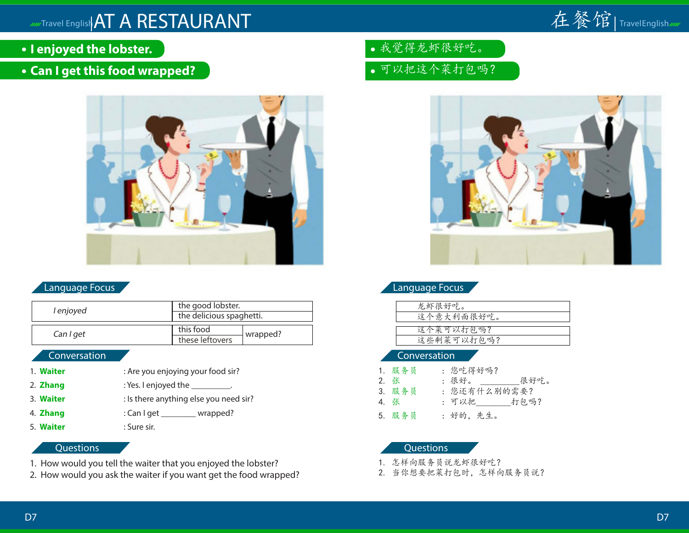

- **I enjoyed the lobster.**
- **Can I get this food wrapped?**



## Language Focus

| l enjoyed | the good lobster.        |          | 龙虾很好吃。     |
|-----------|--------------------------|----------|------------|
|           | the delicious spaghetti. |          | 这个意大利面很好吃。 |
| Can I get | this food                | wrapped? | 这个菜可以打包吗?  |
|           | these leftovers          |          | 这些剩菜可以打包吗? |

### Conversation

- 1. **Waiter** : Are you enjoying your food sir?
- 2. **Zhang** : Yes. I enjoyed the \_\_\_\_\_\_\_\_\_\_.
- 3. **Waiter** : Is there anything else you need sir?
- 4. **Zhang** : Can I get \_\_\_\_\_\_\_\_ wrapped?
- 5. **Waiter** : Sure sir.
- - **Questions**
- 1. How would you tell the waiter that you enjoyed the lobster?
- 2. How would you ask the waiter if you want get the food wrapped?
- 我觉得龙虾很好吃。
- 可以把这个菜打包吗?



## Language Focus

| 龙虾很好吃。     |
|------------|
| 这个意大利面很好吃。 |
|            |
| 这个菜可以打包吗?  |
| 这些剩菜可以打包吗? |
|            |

#### Conversation

|      | 1. 服务员 | : 您吃得好吗?             |
|------|--------|----------------------|
| 2. 张 |        | : 很好。 ______<br>很好吃。 |
|      | 3. 服务员 | : 您还有什么别的需要?         |
| 4. 张 |        | : 可以把      打包吗?      |
|      | 5. 服务员 | : 好的,先生。             |

- 1. 怎样向服务员说龙虾很好吃?
- 2. 当你想要把菜打包时,怎样向服务员说?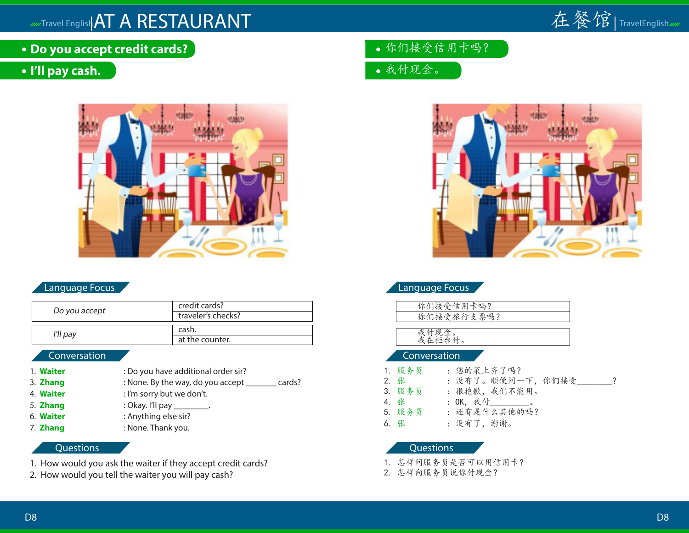

**Do you accept credit cards?**

## **I'll pay cash.**



## Language Focus

| Do you accept | credit cards?<br>traveler's checks? |  |  |
|---------------|-------------------------------------|--|--|
| I'll pay      | cash.<br>at the counter.            |  |  |

#### Conversation

- 1. **Waiter** : Do you have additional order sir? 3. **Zhang** : None. By the way, do you accept \_\_\_\_\_\_\_ cards? 4. **Waiter** : I'm sorry but we don't. 5. **Zhang** : Okay. I'll pay \_\_\_\_\_
- 6. **Waiter** : Anything else sir?
- 7. **Zhang** : None. Thank you.

#### **Questions**

- 1. How would you ask the waiter if they accept credit cards?
- 2. How would you tell the waiter you will pay cash?
- 你们接受信用卡吗?
- 我付现金。



| <b>Language Focus</b> |
|-----------------------|
| 你们接受信用卡吗?             |
| 你们接受旅行支票吗?            |
| .付现金。                 |
| 这在柜台付。                |
| Conversation          |
| : 您的菜上齐了吗?<br>服务员     |

2. 张 : 没有了。顺便问一下, 你们接受\_\_\_\_\_\_\_? 3. 服务员 : 很抱歉, 我们不能用。<br>4. 张 : OK, 我付 : OK, 我付\_\_\_\_\_\_\_\_\_\_。 5. 服务员 : 还有是什么其他的吗? 6. 张 : 没有了,谢谢。

- 1. 怎样问服务员是否可以用信用卡?
- 2. 怎样向服务员说你付现金?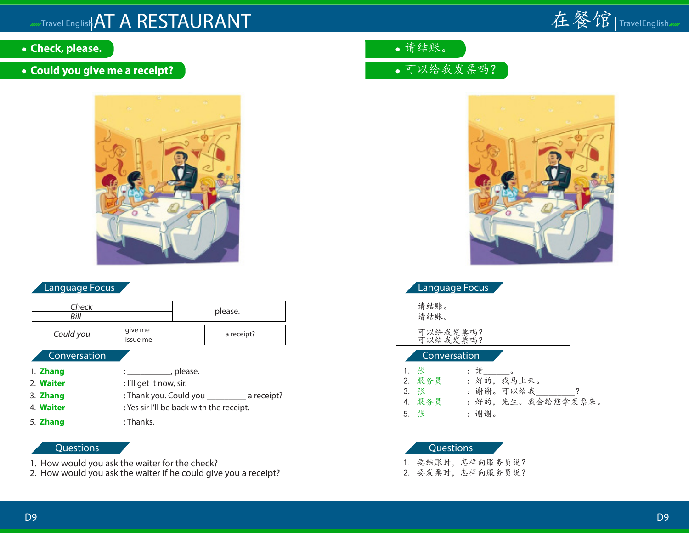

- **Check, please.**
- **Could you give me a receipt?**



## Language Focus

| Check<br>Bill |                         |         | please.    |  |
|---------------|-------------------------|---------|------------|--|
|               |                         |         |            |  |
| Could you     | give me                 |         | a receipt? |  |
|               | issue me                |         |            |  |
| Conversation  |                         |         |            |  |
| 1. Zhang      |                         | please. |            |  |
| 2. Waiter     | : I'll get it now, sir. |         |            |  |
| 3. Zhang      | : Thank you. Could you  |         | a receipt? |  |

- 4. **Waiter** : Yes sir I'll be back with the receipt.
- 5. **Zhang** : Thanks.

### **Questions**

- 1. How would you ask the waiter for the check?
- 2. How would you ask the waiter if he could give you a receipt?
- 请结账。
- 可以给我发票吗?



| anguage Focu |  |
|--------------|--|
|              |  |

| ÷.<br>O<br>╭<br>, |  |
|-------------------|--|
| <b>پيدا</b><br>O  |  |
|                   |  |

可以给我发票吗?<br>可以给我发票吗?

#### Conversation

| 1. 张   | :请。                |
|--------|--------------------|
| 2. 服务员 | : 好的, 我马上来。        |
| 3. 张   | : 谢谢。可以给我          |
| 4. 服务员 | : 好的, 先生。我会给您拿发票来。 |
| 5. 张   | : 谢谢。              |

## Questions

1. 要结账时,怎样向服务员说?

2. 要发票时,怎样向服务员说?